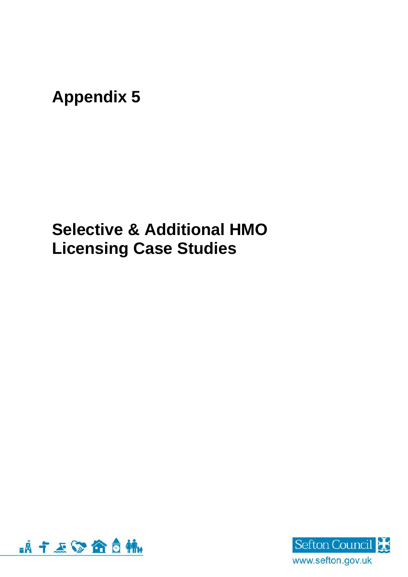**Appendix 5**

**Selective & Additional HMO Licensing Case Studies**



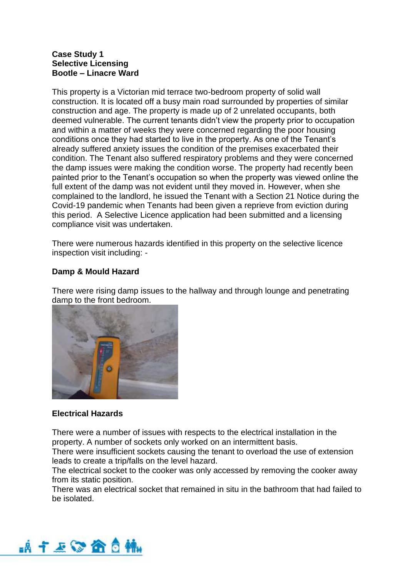## **Case Study 1 Selective Licensing Bootle – Linacre Ward**

This property is a Victorian mid terrace two-bedroom property of solid wall construction. It is located off a busy main road surrounded by properties of similar construction and age. The property is made up of 2 unrelated occupants, both deemed vulnerable. The current tenants didn't view the property prior to occupation and within a matter of weeks they were concerned regarding the poor housing conditions once they had started to live in the property. As one of the Tenant's already suffered anxiety issues the condition of the premises exacerbated their condition. The Tenant also suffered respiratory problems and they were concerned the damp issues were making the condition worse. The property had recently been painted prior to the Tenant's occupation so when the property was viewed online the full extent of the damp was not evident until they moved in. However, when she complained to the landlord, he issued the Tenant with a Section 21 Notice during the Covid-19 pandemic when Tenants had been given a reprieve from eviction during this period. A Selective Licence application had been submitted and a licensing compliance visit was undertaken.

There were numerous hazards identified in this property on the selective licence inspection visit including: -

# **Damp & Mould Hazard**

There were rising damp issues to the hallway and through lounge and penetrating damp to the front bedroom.



# **Electrical Hazards**

There were a number of issues with respects to the electrical installation in the property. A number of sockets only worked on an intermittent basis.

There were insufficient sockets causing the tenant to overload the use of extension leads to create a trip/falls on the level hazard.

The electrical socket to the cooker was only accessed by removing the cooker away from its static position.

There was an electrical socket that remained in situ in the bathroom that had failed to be isolated.

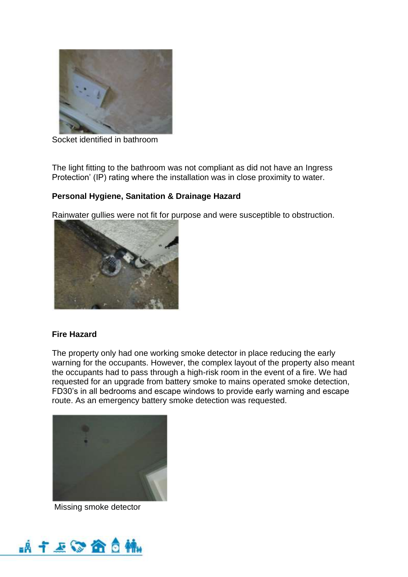

Socket identified in bathroom

The light fitting to the bathroom was not compliant as did not have an Ingress Protection' (IP) rating where the installation was in close proximity to water.

# **Personal Hygiene, Sanitation & Drainage Hazard**

Rainwater gullies were not fit for purpose and were susceptible to obstruction.



# **Fire Hazard**

The property only had one working smoke detector in place reducing the early warning for the occupants. However, the complex layout of the property also meant the occupants had to pass through a high-risk room in the event of a fire. We had requested for an upgrade from battery smoke to mains operated smoke detection, FD30's in all bedrooms and escape windows to provide early warning and escape route. As an emergency battery smoke detection was requested.



Missing smoke detector

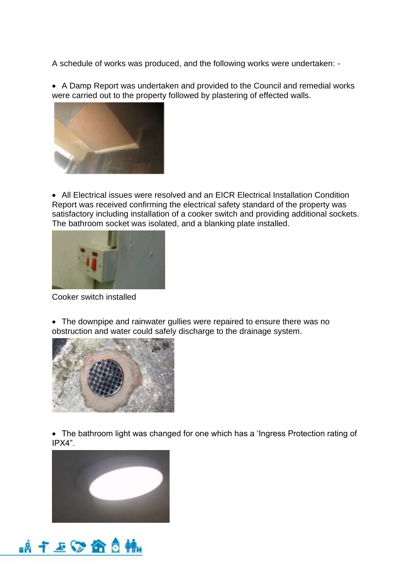A schedule of works was produced, and the following works were undertaken: -

• A Damp Report was undertaken and provided to the Council and remedial works were carried out to the property followed by plastering of effected walls.



• All Electrical issues were resolved and an EICR Electrical Installation Condition Report was received confirming the electrical safety standard of the property was satisfactory including installation of a cooker switch and providing additional sockets. The bathroom socket was isolated, and a blanking plate installed.



Cooker switch installed

• The downpipe and rainwater gullies were repaired to ensure there was no obstruction and water could safely discharge to the drainage system.



• The bathroom light was changed for one which has a 'Ingress Protection rating of IPX4".



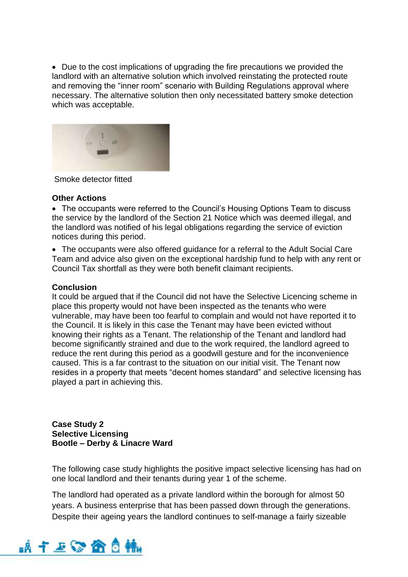• Due to the cost implications of upgrading the fire precautions we provided the landlord with an alternative solution which involved reinstating the protected route and removing the "inner room" scenario with Building Regulations approval where necessary. The alternative solution then only necessitated battery smoke detection which was acceptable.



Smoke detector fitted

#### **Other Actions**

• The occupants were referred to the Council's Housing Options Team to discuss the service by the landlord of the Section 21 Notice which was deemed illegal, and the landlord was notified of his legal obligations regarding the service of eviction notices during this period.

• The occupants were also offered guidance for a referral to the Adult Social Care Team and advice also given on the exceptional hardship fund to help with any rent or Council Tax shortfall as they were both benefit claimant recipients.

#### **Conclusion**

It could be argued that if the Council did not have the Selective Licencing scheme in place this property would not have been inspected as the tenants who were vulnerable, may have been too fearful to complain and would not have reported it to the Council. It is likely in this case the Tenant may have been evicted without knowing their rights as a Tenant. The relationship of the Tenant and landlord had become significantly strained and due to the work required, the landlord agreed to reduce the rent during this period as a goodwill gesture and for the inconvenience caused. This is a far contrast to the situation on our initial visit. The Tenant now resides in a property that meets "decent homes standard" and selective licensing has played a part in achieving this.

**Case Study 2 Selective Licensing Bootle – Derby & Linacre Ward**

The following case study highlights the positive impact selective licensing has had on one local landlord and their tenants during year 1 of the scheme.

The landlord had operated as a private landlord within the borough for almost 50 years. A business enterprise that has been passed down through the generations. Despite their ageing years the landlord continues to self-manage a fairly sizeable

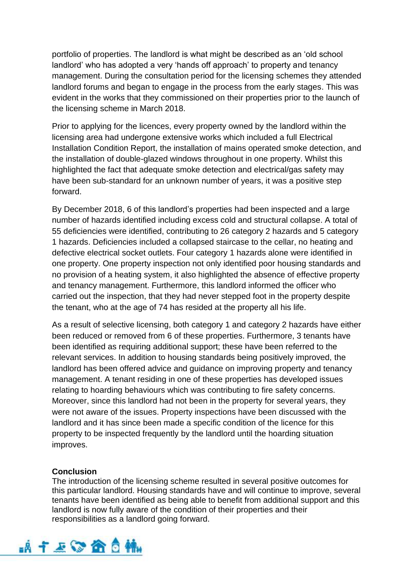portfolio of properties. The landlord is what might be described as an 'old school landlord' who has adopted a very 'hands off approach' to property and tenancy management. During the consultation period for the licensing schemes they attended landlord forums and began to engage in the process from the early stages. This was evident in the works that they commissioned on their properties prior to the launch of the licensing scheme in March 2018.

Prior to applying for the licences, every property owned by the landlord within the licensing area had undergone extensive works which included a full Electrical Installation Condition Report, the installation of mains operated smoke detection, and the installation of double-glazed windows throughout in one property. Whilst this highlighted the fact that adequate smoke detection and electrical/gas safety may have been sub-standard for an unknown number of years, it was a positive step forward.

By December 2018, 6 of this landlord's properties had been inspected and a large number of hazards identified including excess cold and structural collapse. A total of 55 deficiencies were identified, contributing to 26 category 2 hazards and 5 category 1 hazards. Deficiencies included a collapsed staircase to the cellar, no heating and defective electrical socket outlets. Four category 1 hazards alone were identified in one property. One property inspection not only identified poor housing standards and no provision of a heating system, it also highlighted the absence of effective property and tenancy management. Furthermore, this landlord informed the officer who carried out the inspection, that they had never stepped foot in the property despite the tenant, who at the age of 74 has resided at the property all his life.

As a result of selective licensing, both category 1 and category 2 hazards have either been reduced or removed from 6 of these properties. Furthermore, 3 tenants have been identified as requiring additional support; these have been referred to the relevant services. In addition to housing standards being positively improved, the landlord has been offered advice and guidance on improving property and tenancy management. A tenant residing in one of these properties has developed issues relating to hoarding behaviours which was contributing to fire safety concerns. Moreover, since this landlord had not been in the property for several years, they were not aware of the issues. Property inspections have been discussed with the landlord and it has since been made a specific condition of the licence for this property to be inspected frequently by the landlord until the hoarding situation improves.

### **Conclusion**

The introduction of the licensing scheme resulted in several positive outcomes for this particular landlord. Housing standards have and will continue to improve, several tenants have been identified as being able to benefit from additional support and this landlord is now fully aware of the condition of their properties and their responsibilities as a landlord going forward.

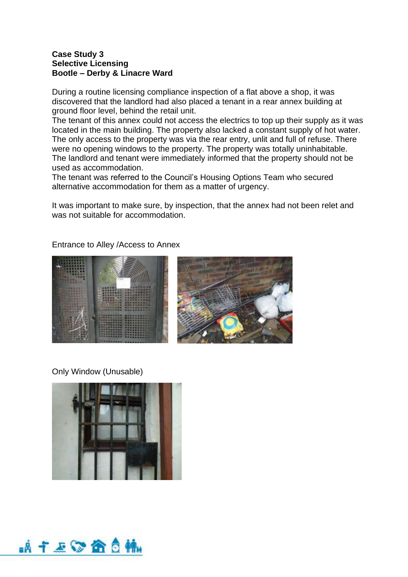### **Case Study 3 Selective Licensing Bootle – Derby & Linacre Ward**

During a routine licensing compliance inspection of a flat above a shop, it was discovered that the landlord had also placed a tenant in a rear annex building at ground floor level, behind the retail unit.

The tenant of this annex could not access the electrics to top up their supply as it was located in the main building. The property also lacked a constant supply of hot water. The only access to the property was via the rear entry, unlit and full of refuse. There were no opening windows to the property. The property was totally uninhabitable. The landlord and tenant were immediately informed that the property should not be used as accommodation.

The tenant was referred to the Council's Housing Options Team who secured alternative accommodation for them as a matter of urgency.

It was important to make sure, by inspection, that the annex had not been relet and was not suitable for accommodation.

### Entrance to Alley /Access to Annex





Only Window (Unusable)



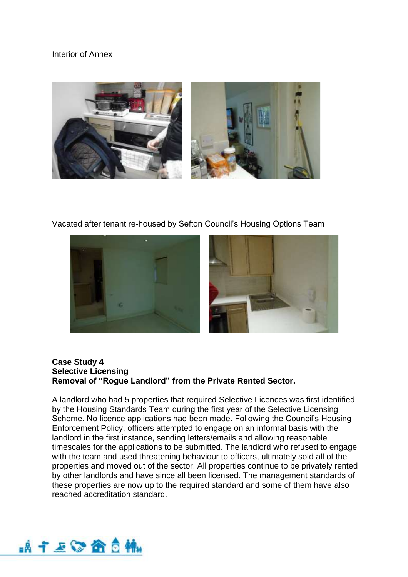### Interior of Annex



Vacated after tenant re-housed by Sefton Council's Housing Options Team



#### **Case Study 4 Selective Licensing Removal of "Rogue Landlord" from the Private Rented Sector.**

A landlord who had 5 properties that required Selective Licences was first identified by the Housing Standards Team during the first year of the Selective Licensing Scheme. No licence applications had been made. Following the Council's Housing Enforcement Policy, officers attempted to engage on an informal basis with the landlord in the first instance, sending letters/emails and allowing reasonable timescales for the applications to be submitted. The landlord who refused to engage with the team and used threatening behaviour to officers, ultimately sold all of the properties and moved out of the sector. All properties continue to be privately rented by other landlords and have since all been licensed. The management standards of these properties are now up to the required standard and some of them have also reached accreditation standard.

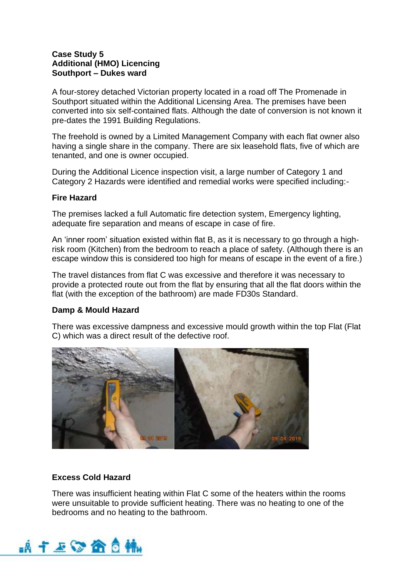## **Case Study 5 Additional (HMO) Licencing Southport – Dukes ward**

A four-storey detached Victorian property located in a road off The Promenade in Southport situated within the Additional Licensing Area. The premises have been converted into six self-contained flats. Although the date of conversion is not known it pre-dates the 1991 Building Regulations.

The freehold is owned by a Limited Management Company with each flat owner also having a single share in the company. There are six leasehold flats, five of which are tenanted, and one is owner occupied.

During the Additional Licence inspection visit, a large number of Category 1 and Category 2 Hazards were identified and remedial works were specified including:-

### **Fire Hazard**

The premises lacked a full Automatic fire detection system, Emergency lighting, adequate fire separation and means of escape in case of fire.

An 'inner room' situation existed within flat B, as it is necessary to go through a highrisk room (Kitchen) from the bedroom to reach a place of safety. (Although there is an escape window this is considered too high for means of escape in the event of a fire.)

The travel distances from flat C was excessive and therefore it was necessary to provide a protected route out from the flat by ensuring that all the flat doors within the flat (with the exception of the bathroom) are made FD30s Standard.

# **Damp & Mould Hazard**

There was excessive dampness and excessive mould growth within the top Flat (Flat C) which was a direct result of the defective roof.



# **Excess Cold Hazard**

There was insufficient heating within Flat C some of the heaters within the rooms were unsuitable to provide sufficient heating. There was no heating to one of the bedrooms and no heating to the bathroom.

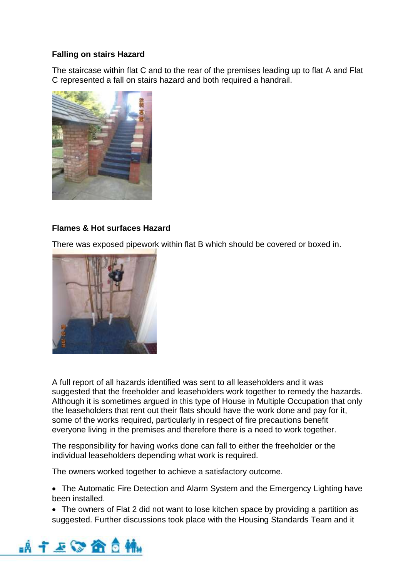## **Falling on stairs Hazard**

The staircase within flat C and to the rear of the premises leading up to flat A and Flat C represented a fall on stairs hazard and both required a handrail.



## **Flames & Hot surfaces Hazard**

There was exposed pipework within flat B which should be covered or boxed in.



A full report of all hazards identified was sent to all leaseholders and it was suggested that the freeholder and leaseholders work together to remedy the hazards. Although it is sometimes argued in this type of House in Multiple Occupation that only the leaseholders that rent out their flats should have the work done and pay for it, some of the works required, particularly in respect of fire precautions benefit everyone living in the premises and therefore there is a need to work together.

The responsibility for having works done can fall to either the freeholder or the individual leaseholders depending what work is required.

The owners worked together to achieve a satisfactory outcome.

• The Automatic Fire Detection and Alarm System and the Emergency Lighting have been installed.

• The owners of Flat 2 did not want to lose kitchen space by providing a partition as suggested. Further discussions took place with the Housing Standards Team and it

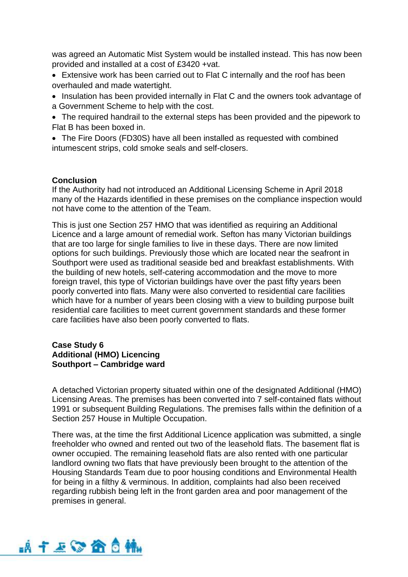was agreed an Automatic Mist System would be installed instead. This has now been provided and installed at a cost of £3420 +vat.

- Extensive work has been carried out to Flat C internally and the roof has been overhauled and made watertight.
- Insulation has been provided internally in Flat C and the owners took advantage of a Government Scheme to help with the cost.
- The required handrail to the external steps has been provided and the pipework to Flat B has been boxed in.

• The Fire Doors (FD30S) have all been installed as requested with combined intumescent strips, cold smoke seals and self-closers.

## **Conclusion**

If the Authority had not introduced an Additional Licensing Scheme in April 2018 many of the Hazards identified in these premises on the compliance inspection would not have come to the attention of the Team.

This is just one Section 257 HMO that was identified as requiring an Additional Licence and a large amount of remedial work. Sefton has many Victorian buildings that are too large for single families to live in these days. There are now limited options for such buildings. Previously those which are located near the seafront in Southport were used as traditional seaside bed and breakfast establishments. With the building of new hotels, self-catering accommodation and the move to more foreign travel, this type of Victorian buildings have over the past fifty years been poorly converted into flats. Many were also converted to residential care facilities which have for a number of years been closing with a view to building purpose built residential care facilities to meet current government standards and these former care facilities have also been poorly converted to flats.

### **Case Study 6 Additional (HMO) Licencing Southport – Cambridge ward**

A detached Victorian property situated within one of the designated Additional (HMO) Licensing Areas. The premises has been converted into 7 self-contained flats without 1991 or subsequent Building Regulations. The premises falls within the definition of a Section 257 House in Multiple Occupation.

There was, at the time the first Additional Licence application was submitted, a single freeholder who owned and rented out two of the leasehold flats. The basement flat is owner occupied. The remaining leasehold flats are also rented with one particular landlord owning two flats that have previously been brought to the attention of the Housing Standards Team due to poor housing conditions and Environmental Health for being in a filthy & verminous. In addition, complaints had also been received regarding rubbish being left in the front garden area and poor management of the premises in general.

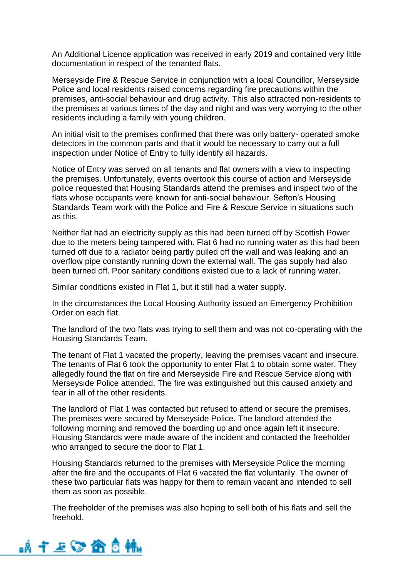An Additional Licence application was received in early 2019 and contained very little documentation in respect of the tenanted flats.

Merseyside Fire & Rescue Service in conjunction with a local Councillor, Merseyside Police and local residents raised concerns regarding fire precautions within the premises, anti-social behaviour and drug activity. This also attracted non-residents to the premises at various times of the day and night and was very worrying to the other residents including a family with young children.

An initial visit to the premises confirmed that there was only battery- operated smoke detectors in the common parts and that it would be necessary to carry out a full inspection under Notice of Entry to fully identify all hazards.

Notice of Entry was served on all tenants and flat owners with a view to inspecting the premises. Unfortunately, events overtook this course of action and Merseyside police requested that Housing Standards attend the premises and inspect two of the flats whose occupants were known for anti-social behaviour. Sefton's Housing Standards Team work with the Police and Fire & Rescue Service in situations such as this.

Neither flat had an electricity supply as this had been turned off by Scottish Power due to the meters being tampered with. Flat 6 had no running water as this had been turned off due to a radiator being partly pulled off the wall and was leaking and an overflow pipe constantly running down the external wall. The gas supply had also been turned off. Poor sanitary conditions existed due to a lack of running water.

Similar conditions existed in Flat 1, but it still had a water supply.

In the circumstances the Local Housing Authority issued an Emergency Prohibition Order on each flat.

The landlord of the two flats was trying to sell them and was not co-operating with the Housing Standards Team.

The tenant of Flat 1 vacated the property, leaving the premises vacant and insecure. The tenants of Flat 6 took the opportunity to enter Flat 1 to obtain some water. They allegedly found the flat on fire and Merseyside Fire and Rescue Service along with Merseyside Police attended. The fire was extinguished but this caused anxiety and fear in all of the other residents.

The landlord of Flat 1 was contacted but refused to attend or secure the premises. The premises were secured by Merseyside Police. The landlord attended the following morning and removed the boarding up and once again left it insecure. Housing Standards were made aware of the incident and contacted the freeholder who arranged to secure the door to Flat 1.

Housing Standards returned to the premises with Merseyside Police the morning after the fire and the occupants of Flat 6 vacated the flat voluntarily. The owner of these two particular flats was happy for them to remain vacant and intended to sell them as soon as possible.

The freeholder of the premises was also hoping to sell both of his flats and sell the freehold.